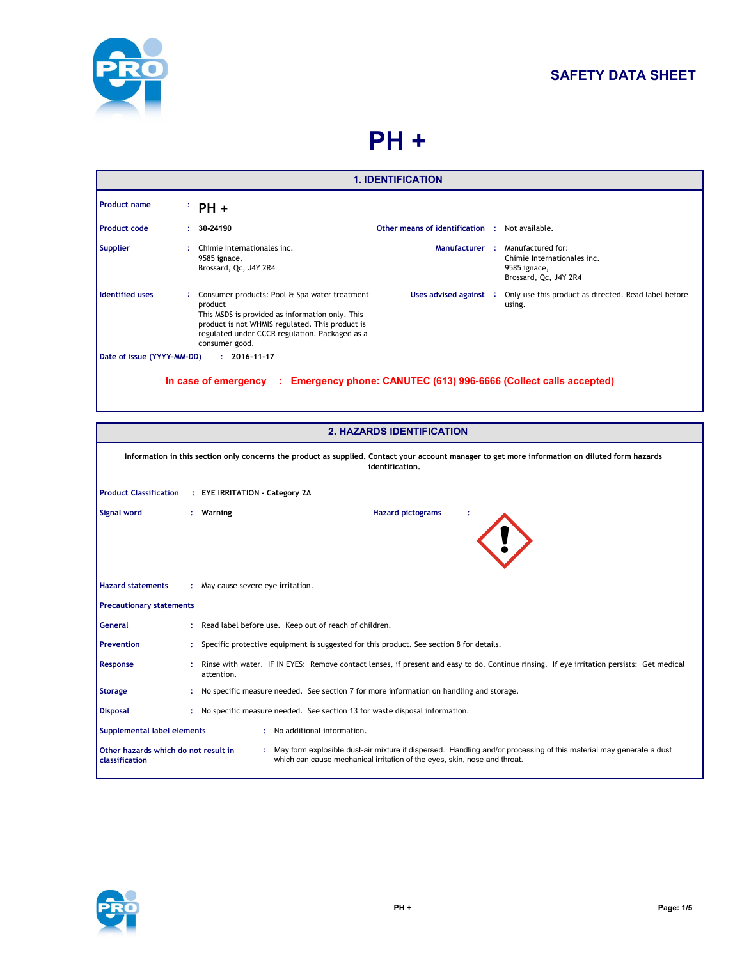

# **SAFETY DATA SHEET**

# **PH +**

| <b>1. IDENTIFICATION</b>                                                                        |  |                                                                                                                                                                                                                                    |                               |  |                                                                                           |
|-------------------------------------------------------------------------------------------------|--|------------------------------------------------------------------------------------------------------------------------------------------------------------------------------------------------------------------------------------|-------------------------------|--|-------------------------------------------------------------------------------------------|
| <b>Product name</b>                                                                             |  | $PH +$                                                                                                                                                                                                                             |                               |  |                                                                                           |
| <b>Product code</b>                                                                             |  | 30-24190                                                                                                                                                                                                                           | Other means of identification |  | Not available.                                                                            |
| <b>Supplier</b>                                                                                 |  | Chimie Internationales inc.<br>9585 ignace,<br>Brossard, Qc, J4Y 2R4                                                                                                                                                               | Manufacturer:                 |  | Manufactured for:<br>Chimie Internationales inc.<br>9585 ignace,<br>Brossard, Qc, J4Y 2R4 |
| <b>Identified uses</b>                                                                          |  | Consumer products: Pool & Spa water treatment<br>product<br>This MSDS is provided as information only. This<br>product is not WHMIS regulated. This product is<br>regulated under CCCR regulation. Packaged as a<br>consumer good. | Uses advised against :        |  | Only use this product as directed. Read label before<br>using.                            |
| Date of issue (YYYY-MM-DD)                                                                      |  | $: 2016 - 11 - 17$                                                                                                                                                                                                                 |                               |  |                                                                                           |
| Emergency phone: CANUTEC (613) 996-6666 (Collect calls accepted)<br>In case of emergency<br>-11 |  |                                                                                                                                                                                                                                    |                               |  |                                                                                           |

|                                                             | <b>2. HAZARDS IDENTIFICATION</b>                                                                                                                                   |                                                                                                                                                                                                   |  |  |  |
|-------------------------------------------------------------|--------------------------------------------------------------------------------------------------------------------------------------------------------------------|---------------------------------------------------------------------------------------------------------------------------------------------------------------------------------------------------|--|--|--|
|                                                             | Information in this section only concerns the product as supplied. Contact your account manager to get more information on diluted form hazards<br>identification. |                                                                                                                                                                                                   |  |  |  |
| <b>Product Classification</b>                               |                                                                                                                                                                    | : EYE IRRITATION - Category 2A                                                                                                                                                                    |  |  |  |
| Signal word                                                 |                                                                                                                                                                    | <b>Hazard pictograms</b><br>: Warning                                                                                                                                                             |  |  |  |
| <b>Hazard statements</b>                                    |                                                                                                                                                                    | : May cause severe eye irritation.                                                                                                                                                                |  |  |  |
| <b>Precautionary statements</b>                             |                                                                                                                                                                    |                                                                                                                                                                                                   |  |  |  |
| <b>General</b>                                              |                                                                                                                                                                    | Read label before use. Keep out of reach of children.                                                                                                                                             |  |  |  |
| <b>Prevention</b>                                           |                                                                                                                                                                    | Specific protective equipment is suggested for this product. See section 8 for details.                                                                                                           |  |  |  |
| Response                                                    |                                                                                                                                                                    | Rinse with water. IF IN EYES: Remove contact lenses, if present and easy to do. Continue rinsing. If eye irritation persists: Get medical<br>attention.                                           |  |  |  |
| <b>Storage</b>                                              |                                                                                                                                                                    | No specific measure needed. See section 7 for more information on handling and storage.                                                                                                           |  |  |  |
| <b>Disposal</b>                                             |                                                                                                                                                                    | : No specific measure needed. See section 13 for waste disposal information.                                                                                                                      |  |  |  |
| Supplemental label elements<br>: No additional information. |                                                                                                                                                                    |                                                                                                                                                                                                   |  |  |  |
| Other hazards which do not result in<br>classification      |                                                                                                                                                                    | : May form explosible dust-air mixture if dispersed. Handling and/or processing of this material may generate a dust<br>which can cause mechanical irritation of the eyes, skin, nose and throat. |  |  |  |

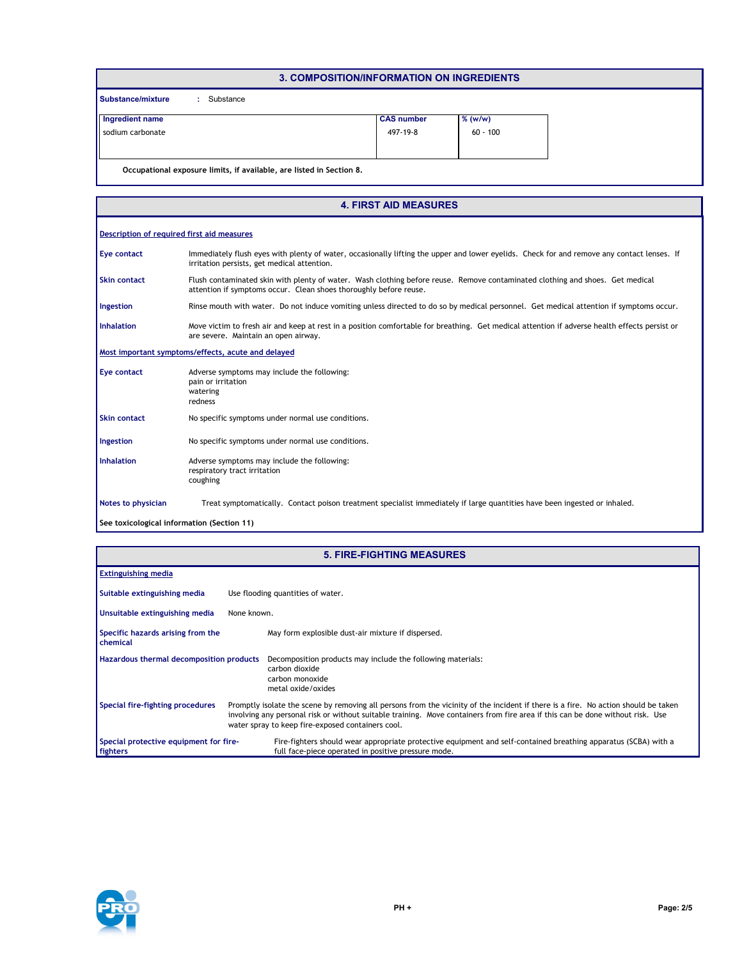| 3. COMPOSITION/INFORMATION ON INGREDIENTS                            |                   |            |  |  |  |
|----------------------------------------------------------------------|-------------------|------------|--|--|--|
| <b>Substance/mixture</b><br>Substance                                |                   |            |  |  |  |
| Ingredient name                                                      | <b>CAS number</b> | $%$ (w/w)  |  |  |  |
| sodium carbonate                                                     | 497-19-8          | $60 - 100$ |  |  |  |
|                                                                      |                   |            |  |  |  |
| Occupational exposure limits, if available, are listed in Section 8. |                   |            |  |  |  |

|                     | <b>4. FIRST AID MEASURES</b>                                                                                                                                                                       |
|---------------------|----------------------------------------------------------------------------------------------------------------------------------------------------------------------------------------------------|
|                     | Description of required first aid measures                                                                                                                                                         |
| Eye contact         | Immediately flush eyes with plenty of water, occasionally lifting the upper and lower eyelids. Check for and remove any contact lenses. If<br>irritation persists, get medical attention.          |
| <b>Skin contact</b> | Flush contaminated skin with plenty of water. Wash clothing before reuse. Remove contaminated clothing and shoes. Get medical<br>attention if symptoms occur. Clean shoes thoroughly before reuse. |
| Ingestion           | Rinse mouth with water. Do not induce vomiting unless directed to do so by medical personnel. Get medical attention if symptoms occur.                                                             |
| <b>Inhalation</b>   | Move victim to fresh air and keep at rest in a position comfortable for breathing. Get medical attention if adverse health effects persist or<br>are severe. Maintain an open airway.              |
|                     | Most important symptoms/effects, acute and delayed                                                                                                                                                 |
| <b>Eye contact</b>  | Adverse symptoms may include the following:<br>pain or irritation<br>watering<br>redness                                                                                                           |
| <b>Skin contact</b> | No specific symptoms under normal use conditions.                                                                                                                                                  |
| Ingestion           | No specific symptoms under normal use conditions.                                                                                                                                                  |
| <b>Inhalation</b>   | Adverse symptoms may include the following:<br>respiratory tract irritation<br>coughing                                                                                                            |
| Notes to physician  | Treat symptomatically. Contact poison treatment specialist immediately if large quantities have been ingested or inhaled.                                                                          |
|                     | See toxicological information (Section 11)                                                                                                                                                         |

| <b>5. FIRE-FIGHTING MEASURES</b>                   |                                                                                                                                                                                                                                                                                                                           |  |  |  |
|----------------------------------------------------|---------------------------------------------------------------------------------------------------------------------------------------------------------------------------------------------------------------------------------------------------------------------------------------------------------------------------|--|--|--|
| <b>Extinguishing media</b>                         |                                                                                                                                                                                                                                                                                                                           |  |  |  |
| Suitable extinguishing media                       | Use flooding quantities of water.                                                                                                                                                                                                                                                                                         |  |  |  |
| Unsuitable extinguishing media                     | None known.                                                                                                                                                                                                                                                                                                               |  |  |  |
| Specific hazards arising from the<br>chemical      | May form explosible dust-air mixture if dispersed.                                                                                                                                                                                                                                                                        |  |  |  |
| <b>Hazardous thermal decomposition products</b>    | Decomposition products may include the following materials:<br>carbon dioxide<br>carbon monoxide<br>metal oxide/oxides                                                                                                                                                                                                    |  |  |  |
| Special fire-fighting procedures                   | Promptly isolate the scene by removing all persons from the vicinity of the incident if there is a fire. No action should be taken<br>involving any personal risk or without suitable training. Move containers from fire area if this can be done without risk. Use<br>water spray to keep fire-exposed containers cool. |  |  |  |
| Special protective equipment for fire-<br>fighters | Fire-fighters should wear appropriate protective equipment and self-contained breathing apparatus (SCBA) with a<br>full face-piece operated in positive pressure mode.                                                                                                                                                    |  |  |  |



 $\overline{\phantom{a}}$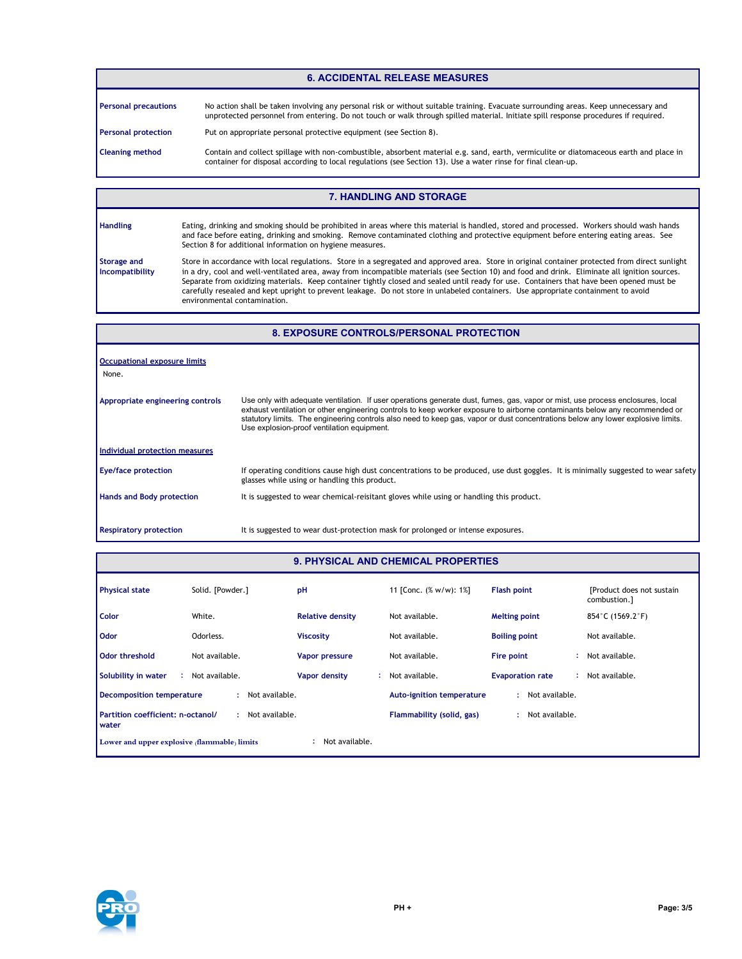# **6. ACCIDENTAL RELEASE MEASURES**

| <b>Personal precautions</b> | No action shall be taken involving any personal risk or without suitable training. Evacuate surrounding areas. Keep unnecessary and<br>unprotected personnel from entering. Do not touch or walk through spilled material. Initiate spill response procedures if required. |
|-----------------------------|----------------------------------------------------------------------------------------------------------------------------------------------------------------------------------------------------------------------------------------------------------------------------|
| <b>Personal protection</b>  | Put on appropriate personal protective equipment (see Section 8).                                                                                                                                                                                                          |
| <b>Cleaning method</b>      | Contain and collect spillage with non-combustible, absorbent material e.g. sand, earth, vermiculite or diatomaceous earth and place in<br>container for disposal according to local regulations (see Section 13). Use a water rinse for final clean-up.                    |

## **7. HANDLING AND STORAGE**

| <b>Handling</b>                       | Eating, drinking and smoking should be prohibited in areas where this material is handled, stored and processed. Workers should wash hands<br>and face before eating, drinking and smoking. Remove contaminated clothing and protective equipment before entering eating areas. See<br>Section 8 for additional information on hygiene measures.                                                                                                                                                                                                                                                                     |
|---------------------------------------|----------------------------------------------------------------------------------------------------------------------------------------------------------------------------------------------------------------------------------------------------------------------------------------------------------------------------------------------------------------------------------------------------------------------------------------------------------------------------------------------------------------------------------------------------------------------------------------------------------------------|
| <b>Storage and</b><br>Incompatibility | Store in accordance with local regulations. Store in a segregated and approved area. Store in original container protected from direct sunlight<br>in a dry, cool and well-ventilated area, away from incompatible materials (see Section 10) and food and drink. Eliminate all ignition sources.<br>Separate from oxidizing materials. Keep container tightly closed and sealed until ready for use. Containers that have been opened must be<br>carefully resealed and kept upright to prevent leakage. Do not store in unlabeled containers. Use appropriate containment to avoid<br>environmental contamination. |

# **8. EXPOSURE CONTROLS/PERSONAL PROTECTION**

| Occupational exposure limits<br>None. |                                                                                                                                                                                                                                                                                                                                                                                                                                                 |
|---------------------------------------|-------------------------------------------------------------------------------------------------------------------------------------------------------------------------------------------------------------------------------------------------------------------------------------------------------------------------------------------------------------------------------------------------------------------------------------------------|
| Appropriate engineering controls      | Use only with adequate ventilation. If user operations generate dust, fumes, gas, vapor or mist, use process enclosures, local<br>exhaust ventilation or other engineering controls to keep worker exposure to airborne contaminants below any recommended or<br>statutory limits. The engineering controls also need to keep gas, vapor or dust concentrations below any lower explosive limits.<br>Use explosion-proof ventilation equipment. |
| Individual protection measures        |                                                                                                                                                                                                                                                                                                                                                                                                                                                 |
| <b>Eye/face protection</b>            | If operating conditions cause high dust concentrations to be produced, use dust goggles. It is minimally suggested to wear safety<br>glasses while using or handling this product.                                                                                                                                                                                                                                                              |
| <b>Hands and Body protection</b>      | It is suggested to wear chemical-reisitant gloves while using or handling this product.                                                                                                                                                                                                                                                                                                                                                         |
| <b>Respiratory protection</b>         | It is suggested to wear dust-protection mask for prolonged or intense exposures.                                                                                                                                                                                                                                                                                                                                                                |

## **9. PHYSICAL AND CHEMICAL PROPERTIES**

| <b>Physical state</b>                                          | Solid. [Powder.] | pH                      | 11 [Conc. (% w/w): 1%]           | <b>Flash point</b>      | [Product does not sustain]<br>combustion.] |
|----------------------------------------------------------------|------------------|-------------------------|----------------------------------|-------------------------|--------------------------------------------|
| Color                                                          | White.           | <b>Relative density</b> | Not available.                   | <b>Melting point</b>    | 854°C (1569.2°F)                           |
| <b>Odor</b>                                                    | Odorless.        | <b>Viscosity</b>        | Not available.                   | <b>Boiling point</b>    | Not available.                             |
| <b>Odor threshold</b>                                          | Not available.   | <b>Vapor pressure</b>   | Not available.                   | Fire point              | Not available.                             |
| Solubility in water                                            | : Not available. | Vapor density<br>÷.     | Not available.                   | <b>Evaporation rate</b> | Not available.                             |
| <b>Decomposition temperature</b>                               | : Not available. |                         | <b>Auto-ignition temperature</b> | Not available.<br>÷.    |                                            |
| Partition coefficient: n-octanol/<br>water                     | Not available.   |                         | Flammability (solid, gas)        | Not available.          |                                            |
| Not available.<br>Lower and upper explosive (flammable) limits |                  |                         |                                  |                         |                                            |

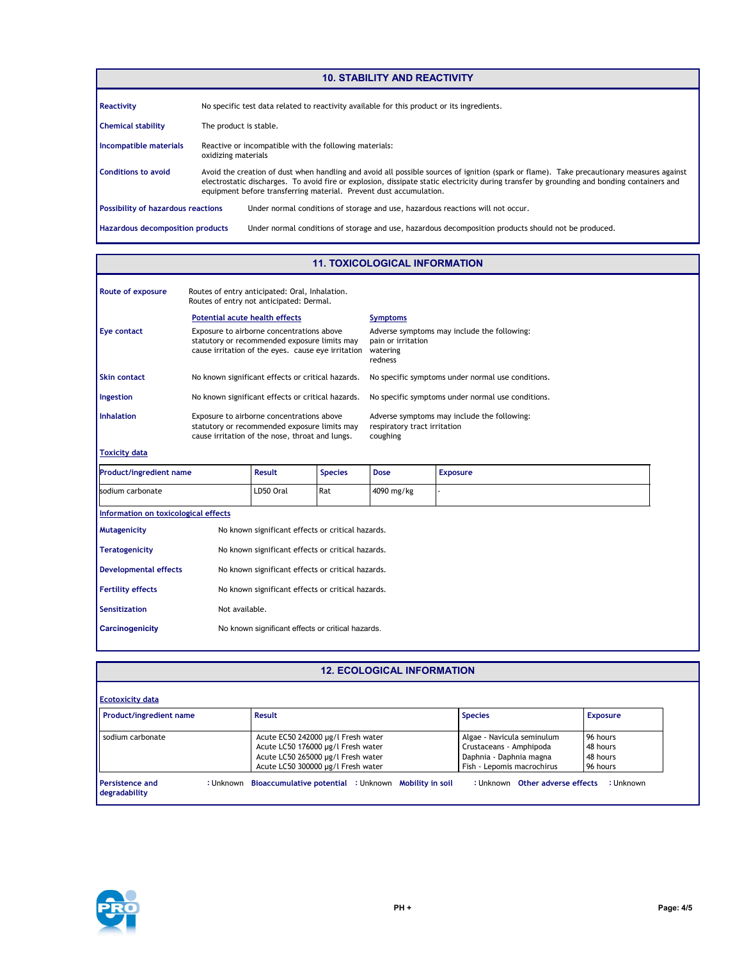**Hazardous decomposition products Conditions to avoid** Avoid the creation of dust when handling and avoid all possible sources of ignition (spark or flame). Take precautionary measures against electrostatic discharges. To avoid fire or explosion, dissipate static electricity during transfer by grounding and bonding containers and equipment before transferring material. Prevent dust accumulation. Under normal conditions of storage and use, hazardous decomposition products should not be produced. **Chemical stability** The product is stable. Reactive or incompatible with the following materials: oxidizing materials **Incompatible materials Possibility of hazardous reactions** Under normal conditions of storage and use, hazardous reactions will not occur. **Reactivity** No specific test data related to reactivity available for this product or its ingredients. **10. STABILITY AND REACTIVITY**

#### **11. TOXICOLOGICAL INFORMATION**

| Route of exposure    | Routes of entry anticipated: Oral, Inhalation.<br>Routes of entry not anticipated: Dermal.                                                      |                                                                                          |
|----------------------|-------------------------------------------------------------------------------------------------------------------------------------------------|------------------------------------------------------------------------------------------|
|                      | Potential acute health effects                                                                                                                  | <b>Symptoms</b>                                                                          |
| Eye contact          | Exposure to airborne concentrations above<br>statutory or recommended exposure limits may<br>cause irritation of the eyes. cause eye irritation | Adverse symptoms may include the following:<br>pain or irritation<br>watering<br>redness |
| <b>Skin contact</b>  | No known significant effects or critical hazards.                                                                                               | No specific symptoms under normal use conditions.                                        |
| Ingestion            | No known significant effects or critical hazards.                                                                                               | No specific symptoms under normal use conditions.                                        |
| <b>Inhalation</b>    | Exposure to airborne concentrations above<br>statutory or recommended exposure limits may<br>cause irritation of the nose, throat and lungs.    | Adverse symptoms may include the following:<br>respiratory tract irritation<br>coughing  |
| <b>Toxicity data</b> |                                                                                                                                                 |                                                                                          |

| <b>Product/ingredient name</b>       | <b>Result</b> | <b>Species</b>                                    | <b>Dose</b> | <b>Exposure</b> |  |
|--------------------------------------|---------------|---------------------------------------------------|-------------|-----------------|--|
| sodium carbonate                     |               | LD50 Oral                                         | Rat         | 4090 mg/kg      |  |
| Information on toxicological effects |               |                                                   |             |                 |  |
| <b>Mutagenicity</b>                  |               | No known significant effects or critical hazards. |             |                 |  |
| Teratogenicity                       |               | No known significant effects or critical hazards. |             |                 |  |

| <b>Developmental effects</b> | No known significant effects or critical hazards. |
|------------------------------|---------------------------------------------------|
| <b>Fertility effects</b>     | No known significant effects or critical hazards. |
| Sensitization                | Not available.                                    |
| Carcinogenicity              | No known significant effects or critical hazards. |

#### **12. ECOLOGICAL INFORMATION**

| Product/ingredient name | <b>Result</b>                      | <b>Species</b>             | <b>Exposure</b> |
|-------------------------|------------------------------------|----------------------------|-----------------|
| I sodium carbonate      | Acute EC50 242000 µg/l Fresh water | Algae - Navicula seminulum | 96 hours        |
|                         | Acute LC50 176000 µg/l Fresh water | Crustaceans - Amphipoda    | 48 hours        |
|                         | Acute LC50 265000 µg/l Fresh water | Daphnia - Daphnia magna    | 48 hours        |
|                         | Acute LC50 300000 µg/l Fresh water | Fish - Lepomis macrochirus | 96 hours        |